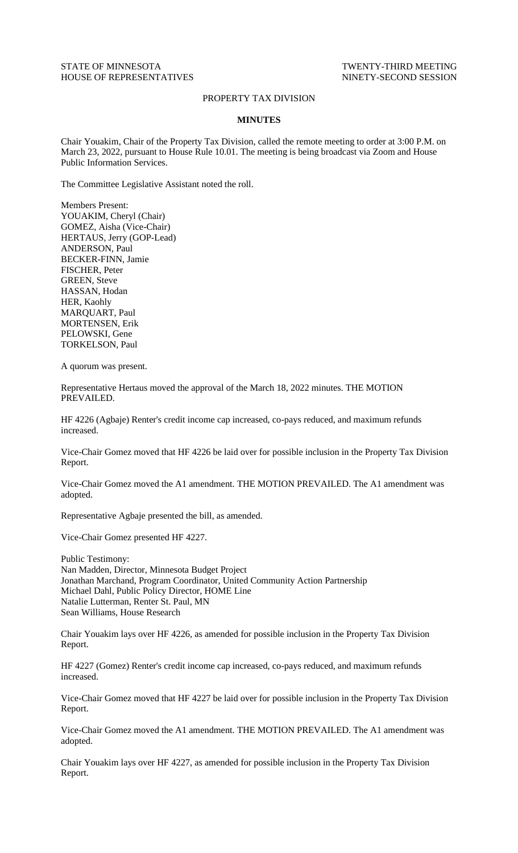## STATE OF MINNESOTA TWENTY-THIRD MEETING HOUSE OF REPRESENTATIVES NINETY-SECOND SESSION

## PROPERTY TAX DIVISION

## **MINUTES**

Chair Youakim, Chair of the Property Tax Division, called the remote meeting to order at 3:00 P.M. on March 23, 2022, pursuant to House Rule 10.01. The meeting is being broadcast via Zoom and House Public Information Services.

The Committee Legislative Assistant noted the roll.

Members Present: YOUAKIM, Cheryl (Chair) GOMEZ, Aisha (Vice-Chair) HERTAUS, Jerry (GOP-Lead) ANDERSON, Paul BECKER-FINN, Jamie FISCHER, Peter GREEN, Steve HASSAN, Hodan HER, Kaohly MARQUART, Paul MORTENSEN, Erik PELOWSKI, Gene TORKELSON, Paul

A quorum was present.

Representative Hertaus moved the approval of the March 18, 2022 minutes. THE MOTION PREVAILED.

HF 4226 (Agbaje) Renter's credit income cap increased, co-pays reduced, and maximum refunds increased.

Vice-Chair Gomez moved that HF 4226 be laid over for possible inclusion in the Property Tax Division Report.

Vice-Chair Gomez moved the A1 amendment. THE MOTION PREVAILED. The A1 amendment was adopted.

Representative Agbaje presented the bill, as amended.

Vice-Chair Gomez presented HF 4227.

Public Testimony: Nan Madden, Director, Minnesota Budget Project Jonathan Marchand, Program Coordinator, United Community Action Partnership Michael Dahl, Public Policy Director, HOME Line Natalie Lutterman, Renter St. Paul, MN Sean Williams, House Research

Chair Youakim lays over HF 4226, as amended for possible inclusion in the Property Tax Division Report.

HF 4227 (Gomez) Renter's credit income cap increased, co-pays reduced, and maximum refunds increased.

Vice-Chair Gomez moved that HF 4227 be laid over for possible inclusion in the Property Tax Division Report.

Vice-Chair Gomez moved the A1 amendment. THE MOTION PREVAILED. The A1 amendment was adopted.

Chair Youakim lays over HF 4227, as amended for possible inclusion in the Property Tax Division Report.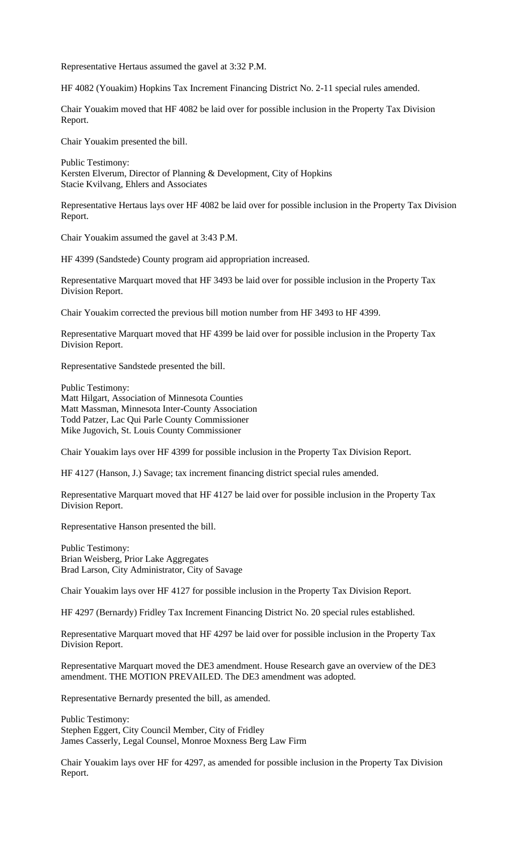Representative Hertaus assumed the gavel at 3:32 P.M.

HF 4082 (Youakim) Hopkins Tax Increment Financing District No. 2-11 special rules amended.

Chair Youakim moved that HF 4082 be laid over for possible inclusion in the Property Tax Division Report.

Chair Youakim presented the bill.

Public Testimony: Kersten Elverum, Director of Planning & Development, City of Hopkins Stacie Kvilvang, Ehlers and Associates

Representative Hertaus lays over HF 4082 be laid over for possible inclusion in the Property Tax Division Report.

Chair Youakim assumed the gavel at 3:43 P.M.

HF 4399 (Sandstede) County program aid appropriation increased.

Representative Marquart moved that HF 3493 be laid over for possible inclusion in the Property Tax Division Report.

Chair Youakim corrected the previous bill motion number from HF 3493 to HF 4399.

Representative Marquart moved that HF 4399 be laid over for possible inclusion in the Property Tax Division Report.

Representative Sandstede presented the bill.

Public Testimony: Matt Hilgart, Association of Minnesota Counties Matt Massman, Minnesota Inter-County Association Todd Patzer, Lac Qui Parle County Commissioner Mike Jugovich, St. Louis County Commissioner

Chair Youakim lays over HF 4399 for possible inclusion in the Property Tax Division Report.

HF 4127 (Hanson, J.) Savage; tax increment financing district special rules amended.

Representative Marquart moved that HF 4127 be laid over for possible inclusion in the Property Tax Division Report.

Representative Hanson presented the bill.

Public Testimony: Brian Weisberg, Prior Lake Aggregates Brad Larson, City Administrator, City of Savage

Chair Youakim lays over HF 4127 for possible inclusion in the Property Tax Division Report.

HF 4297 (Bernardy) Fridley Tax Increment Financing District No. 20 special rules established.

Representative Marquart moved that HF 4297 be laid over for possible inclusion in the Property Tax Division Report.

Representative Marquart moved the DE3 amendment. House Research gave an overview of the DE3 amendment. THE MOTION PREVAILED. The DE3 amendment was adopted.

Representative Bernardy presented the bill, as amended.

Public Testimony: Stephen Eggert, City Council Member, City of Fridley James Casserly, Legal Counsel, Monroe Moxness Berg Law Firm

Chair Youakim lays over HF for 4297, as amended for possible inclusion in the Property Tax Division Report.